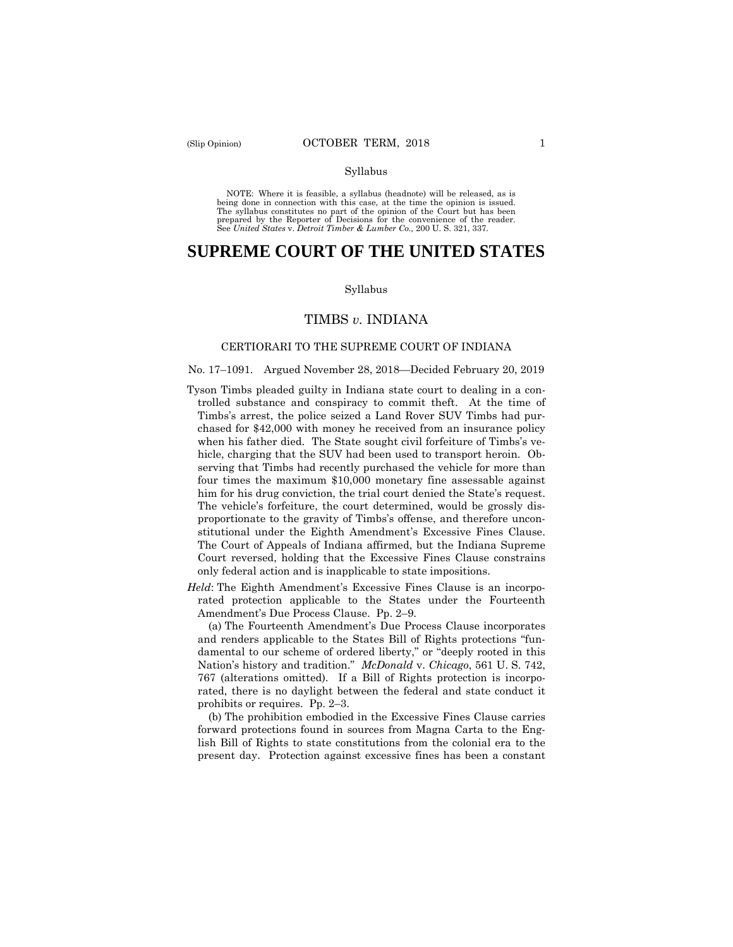#### Syllabus

 NOTE: Where it is feasible, a syllabus (headnote) will be released, as is being done in connection with this case, at the time the opinion is issued. The syllabus constitutes no part of the opinion of the Court but has been<br>prepared by the Reporter of Decisions for the convenience of the reader.<br>See United States v. Detroit Timber & Lumber Co., 200 U.S. 321, 337.

# **SUPREME COURT OF THE UNITED STATES**

#### Syllabus

# TIMBS *v.* INDIANA

### CERTIORARI TO THE SUPREME COURT OF INDIANA

### No. 17–1091. Argued November 28, 2018—Decided February 20, 2019

- Tyson Timbs pleaded guilty in Indiana state court to dealing in a controlled substance and conspiracy to commit theft. At the time of Timbs's arrest, the police seized a Land Rover SUV Timbs had purchased for \$42,000 with money he received from an insurance policy when his father died. The State sought civil forfeiture of Timbs's vehicle, charging that the SUV had been used to transport heroin. Observing that Timbs had recently purchased the vehicle for more than four times the maximum \$10,000 monetary fine assessable against him for his drug conviction, the trial court denied the State's request. The vehicle's forfeiture, the court determined, would be grossly disproportionate to the gravity of Timbs's offense, and therefore unconstitutional under the Eighth Amendment's Excessive Fines Clause. The Court of Appeals of Indiana affirmed, but the Indiana Supreme Court reversed, holding that the Excessive Fines Clause constrains only federal action and is inapplicable to state impositions.
- *Held*: The Eighth Amendment's Excessive Fines Clause is an incorporated protection applicable to the States under the Fourteenth Amendment's Due Process Clause. Pp. 2–9.

(a) The Fourteenth Amendment's Due Process Clause incorporates and renders applicable to the States Bill of Rights protections "fundamental to our scheme of ordered liberty," or "deeply rooted in this Nation's history and tradition." *McDonald* v. *Chicago*, 561 U. S. 742, 767 (alterations omitted). If a Bill of Rights protection is incorporated, there is no daylight between the federal and state conduct it prohibits or requires. Pp. 2–3.

(b) The prohibition embodied in the Excessive Fines Clause carries forward protections found in sources from Magna Carta to the English Bill of Rights to state constitutions from the colonial era to the present day. Protection against excessive fines has been a constant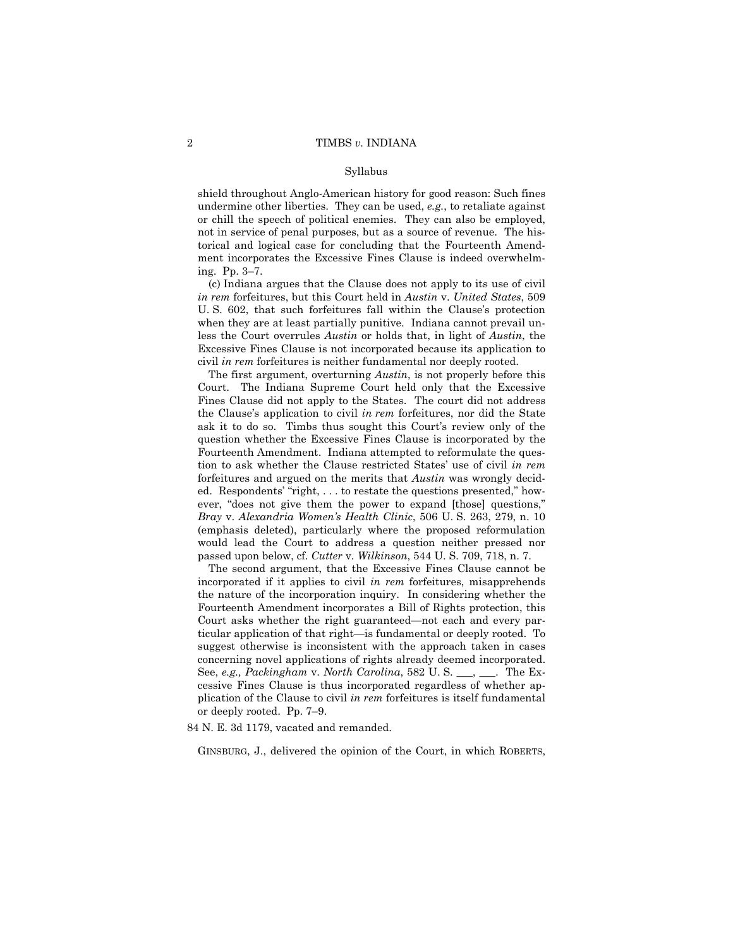#### Syllabus

shield throughout Anglo-American history for good reason: Such fines undermine other liberties. They can be used, *e.g.*, to retaliate against or chill the speech of political enemies. They can also be employed, not in service of penal purposes, but as a source of revenue. The historical and logical case for concluding that the Fourteenth Amendment incorporates the Excessive Fines Clause is indeed overwhelming. Pp. 3–7.

(c) Indiana argues that the Clause does not apply to its use of civil *in rem* forfeitures, but this Court held in *Austin* v. *United States*, 509 U. S. 602, that such forfeitures fall within the Clause's protection when they are at least partially punitive. Indiana cannot prevail unless the Court overrules *Austin* or holds that, in light of *Austin*, the Excessive Fines Clause is not incorporated because its application to civil *in rem* forfeitures is neither fundamental nor deeply rooted.

The first argument, overturning *Austin*, is not properly before this Court. The Indiana Supreme Court held only that the Excessive Fines Clause did not apply to the States. The court did not address the Clause's application to civil *in rem* forfeitures, nor did the State ask it to do so. Timbs thus sought this Court's review only of the question whether the Excessive Fines Clause is incorporated by the Fourteenth Amendment. Indiana attempted to reformulate the question to ask whether the Clause restricted States' use of civil *in rem*  forfeitures and argued on the merits that *Austin* was wrongly decided. Respondents' "right, . . . to restate the questions presented," however, "does not give them the power to expand [those] questions," *Bray* v. *Alexandria Women's Health Clinic*, 506 U. S. 263, 279, n. 10 (emphasis deleted), particularly where the proposed reformulation would lead the Court to address a question neither pressed nor passed upon below, cf. *Cutter* v. *Wilkinson*, 544 U. S. 709, 718, n. 7.

The second argument, that the Excessive Fines Clause cannot be incorporated if it applies to civil *in rem* forfeitures, misapprehends the nature of the incorporation inquiry. In considering whether the Fourteenth Amendment incorporates a Bill of Rights protection, this Court asks whether the right guaranteed—not each and every particular application of that right—is fundamental or deeply rooted. To suggest otherwise is inconsistent with the approach taken in cases concerning novel applications of rights already deemed incorporated. See, *e.g., Packingham* v. *North Carolina*, 582 U. S. \_\_\_, \_\_\_. The Excessive Fines Clause is thus incorporated regardless of whether application of the Clause to civil *in rem* forfeitures is itself fundamental or deeply rooted. Pp. 7–9.

84 N. E. 3d 1179, vacated and remanded.

GINSBURG, J., delivered the opinion of the Court, in which ROBERTS,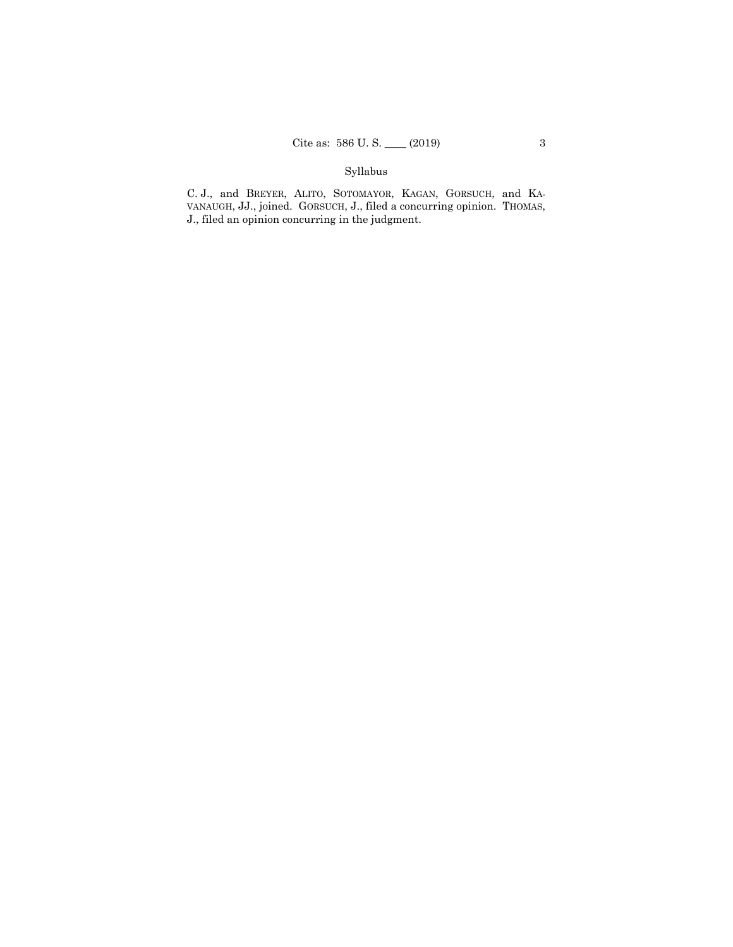# Syllabus

C. J., and BREYER, ALITO, SOTOMAYOR, KAGAN, GORSUCH, and KA-VANAUGH, JJ., joined. GORSUCH, J., filed a concurring opinion. THOMAS, J., filed an opinion concurring in the judgment.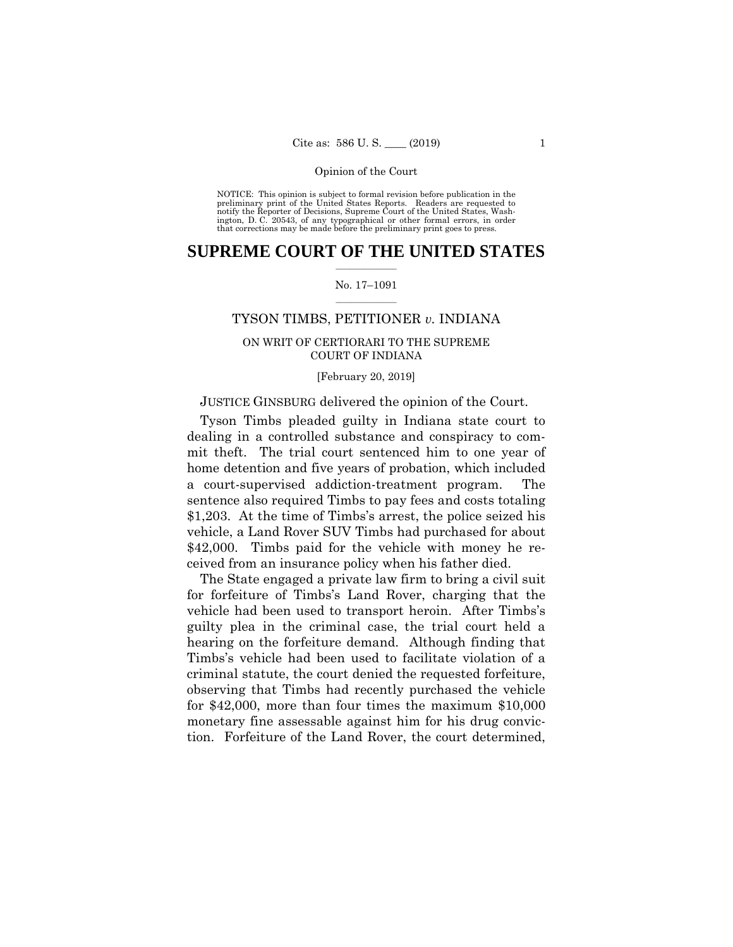preliminary print of the United States Reports. Readers are requested to notify the Reporter of Decisions, Supreme Court of the United States, Wash- ington, D. C. 20543, of any typographical or other formal errors, in order that corrections may be made before the preliminary print goes to press. NOTICE: This opinion is subject to formal revision before publication in the

# $\frac{1}{2}$  ,  $\frac{1}{2}$  ,  $\frac{1}{2}$  ,  $\frac{1}{2}$  ,  $\frac{1}{2}$  ,  $\frac{1}{2}$  ,  $\frac{1}{2}$ **SUPREME COURT OF THE UNITED STATES**

# $\frac{1}{2}$  ,  $\frac{1}{2}$  ,  $\frac{1}{2}$  ,  $\frac{1}{2}$  ,  $\frac{1}{2}$  ,  $\frac{1}{2}$ No. 17–1091

# TYSON TIMBS, PETITIONER *v.* INDIANA

# ON WRIT OF CERTIORARI TO THE SUPREME COURT OF INDIANA

[February 20, 2019]

# JUSTICE GINSBURG delivered the opinion of the Court.

Tyson Timbs pleaded guilty in Indiana state court to dealing in a controlled substance and conspiracy to commit theft. The trial court sentenced him to one year of home detention and five years of probation, which included a court-supervised addiction-treatment program. The sentence also required Timbs to pay fees and costs totaling \$1,203. At the time of Timbs's arrest, the police seized his vehicle, a Land Rover SUV Timbs had purchased for about \$42,000. Timbs paid for the vehicle with money he received from an insurance policy when his father died.

The State engaged a private law firm to bring a civil suit for forfeiture of Timbs's Land Rover, charging that the vehicle had been used to transport heroin. After Timbs's guilty plea in the criminal case, the trial court held a hearing on the forfeiture demand. Although finding that Timbs's vehicle had been used to facilitate violation of a criminal statute, the court denied the requested forfeiture, observing that Timbs had recently purchased the vehicle for \$42,000, more than four times the maximum \$10,000 monetary fine assessable against him for his drug conviction. Forfeiture of the Land Rover, the court determined,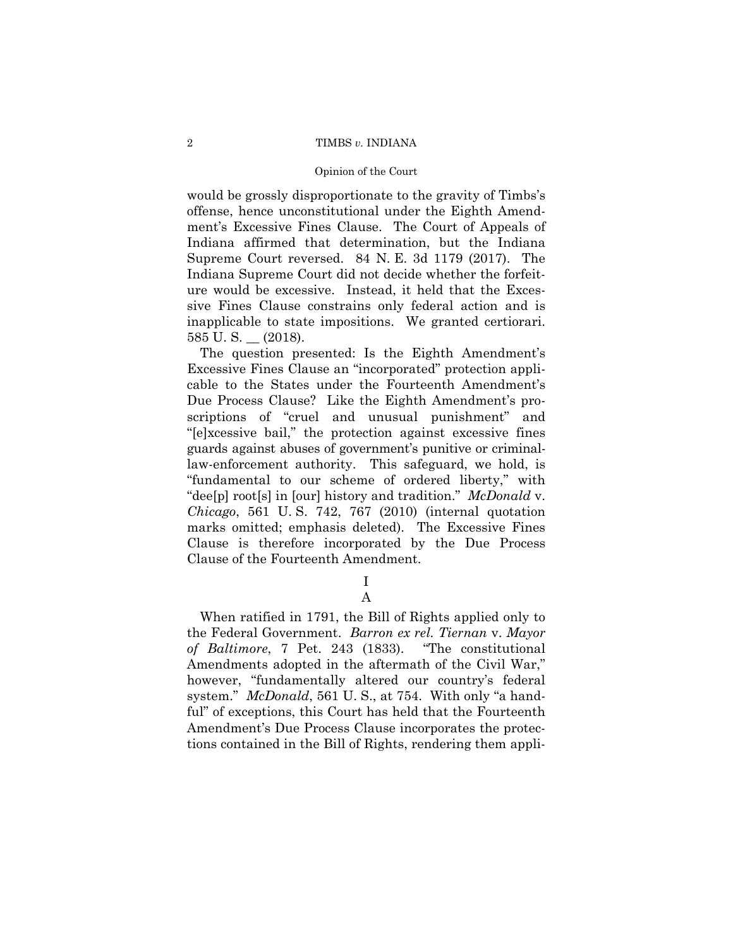# 2 TIMBS *v.* INDIANA

### Opinion of the Court

would be grossly disproportionate to the gravity of Timbs's offense, hence unconstitutional under the Eighth Amendment's Excessive Fines Clause. The Court of Appeals of Indiana affirmed that determination, but the Indiana Supreme Court reversed. 84 N. E. 3d 1179 (2017). The Indiana Supreme Court did not decide whether the forfeiture would be excessive. Instead, it held that the Excessive Fines Clause constrains only federal action and is inapplicable to state impositions. We granted certiorari.  $585 \text{ U. S.}$   $(2018).$ 

The question presented: Is the Eighth Amendment's Excessive Fines Clause an "incorporated" protection applicable to the States under the Fourteenth Amendment's Due Process Clause? Like the Eighth Amendment's proscriptions of "cruel and unusual punishment" and "[e]xcessive bail," the protection against excessive fines guards against abuses of government's punitive or criminallaw-enforcement authority. This safeguard, we hold, is "fundamental to our scheme of ordered liberty," with "dee[p] root[s] in [our] history and tradition." *McDonald* v. *Chicago*, 561 U. S. 742, 767 (2010) (internal quotation marks omitted; emphasis deleted). The Excessive Fines Clause is therefore incorporated by the Due Process Clause of the Fourteenth Amendment.

> I A

When ratified in 1791, the Bill of Rights applied only to the Federal Government. *Barron ex rel. Tiernan* v. *Mayor of Baltimore*, 7 Pet. 243 (1833). "The constitutional Amendments adopted in the aftermath of the Civil War," however, "fundamentally altered our country's federal system." *McDonald*, 561 U. S., at 754. With only "a handful" of exceptions, this Court has held that the Fourteenth Amendment's Due Process Clause incorporates the protections contained in the Bill of Rights, rendering them appli-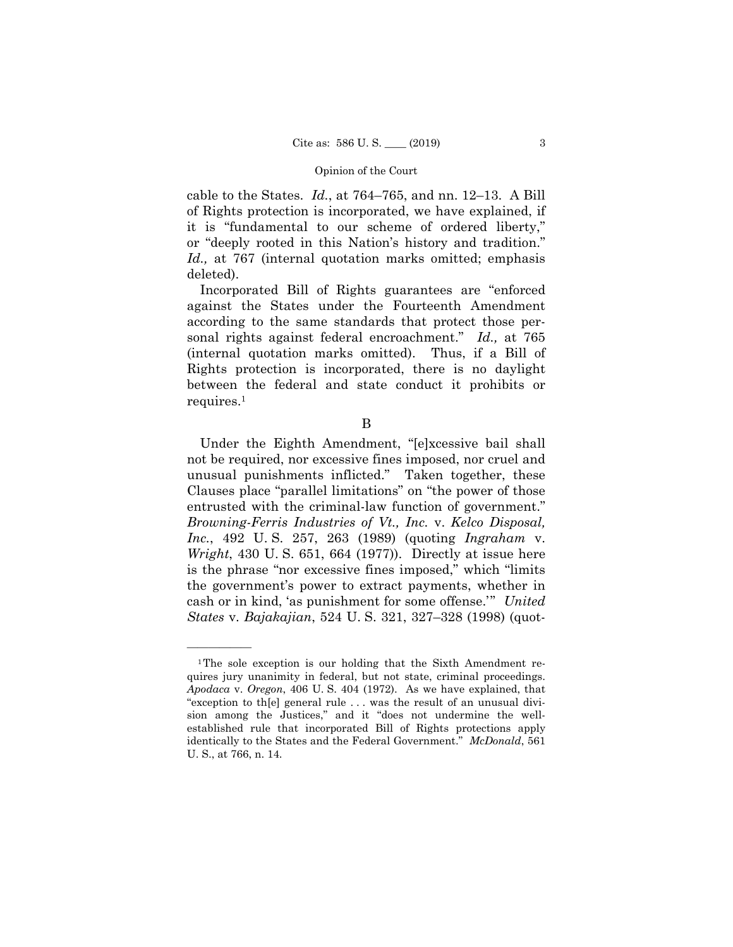cable to the States. *Id.*, at 764–765, and nn. 12–13. A Bill of Rights protection is incorporated, we have explained, if it is "fundamental to our scheme of ordered liberty," or "deeply rooted in this Nation's history and tradition." *Id.,* at 767 (internal quotation marks omitted; emphasis deleted).

Incorporated Bill of Rights guarantees are "enforced against the States under the Fourteenth Amendment according to the same standards that protect those personal rights against federal encroachment." *Id.,* at 765 (internal quotation marks omitted). Thus, if a Bill of Rights protection is incorporated, there is no daylight between the federal and state conduct it prohibits or requires.1

B

Under the Eighth Amendment, "[e]xcessive bail shall not be required, nor excessive fines imposed, nor cruel and unusual punishments inflicted." Taken together, these Clauses place "parallel limitations" on "the power of those entrusted with the criminal-law function of government." *Browning-Ferris Industries of Vt., Inc.* v. *Kelco Disposal, Inc.*, 492 U. S. 257, 263 (1989) (quoting *Ingraham* v. *Wright*, 430 U. S. 651, 664 (1977)). Directly at issue here is the phrase "nor excessive fines imposed," which "limits the government's power to extract payments, whether in cash or in kind, 'as punishment for some offense.'" *United States* v. *Bajakajian*, 524 U. S. 321, 327–328 (1998) (quot-

——————

<sup>&</sup>lt;sup>1</sup>The sole exception is our holding that the Sixth Amendment requires jury unanimity in federal, but not state, criminal proceedings. *Apodaca* v. *Oregon*, 406 U. S. 404 (1972). As we have explained, that "exception to th[e] general rule . . . was the result of an unusual division among the Justices," and it "does not undermine the wellestablished rule that incorporated Bill of Rights protections apply identically to the States and the Federal Government." *McDonald*, 561 U. S., at 766, n. 14.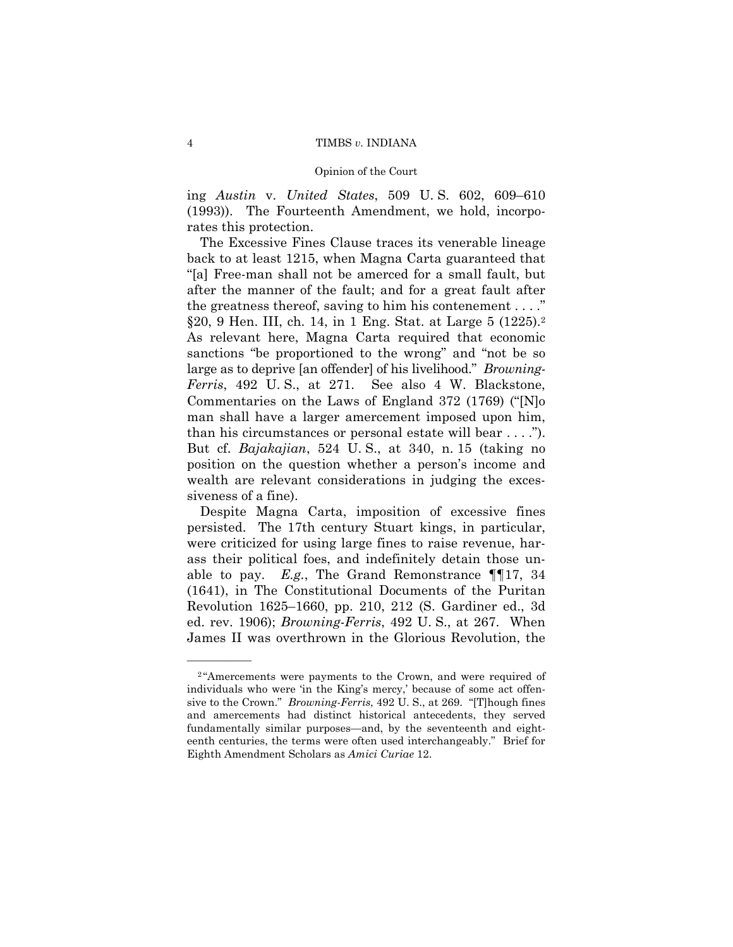ing *Austin* v. *United States*, 509 U. S. 602, 609–610 (1993)). The Fourteenth Amendment, we hold, incorporates this protection.

§20, 9 Hen. III, ch. 14, in 1 Eng. Stat. at Large 5 (1225).<sup>2</sup> The Excessive Fines Clause traces its venerable lineage back to at least 1215, when Magna Carta guaranteed that "[a] Free-man shall not be amerced for a small fault, but after the manner of the fault; and for a great fault after the greatness thereof, saving to him his contenement  $\dots$ ." As relevant here, Magna Carta required that economic sanctions "be proportioned to the wrong" and "not be so large as to deprive [an offender] of his livelihood." *Browning-Ferris*, 492 U. S., at 271. See also 4 W. Blackstone, Commentaries on the Laws of England 372 (1769) ("[N]o man shall have a larger amercement imposed upon him, than his circumstances or personal estate will bear . . . ."). But cf. *Bajakajian*, 524 U. S., at 340, n. 15 (taking no position on the question whether a person's income and wealth are relevant considerations in judging the excessiveness of a fine).

Despite Magna Carta, imposition of excessive fines persisted. The 17th century Stuart kings, in particular, were criticized for using large fines to raise revenue, harass their political foes, and indefinitely detain those unable to pay. *E.g.*, The Grand Remonstrance ¶¶17, 34 (1641), in The Constitutional Documents of the Puritan Revolution 1625–1660, pp. 210, 212 (S. Gardiner ed., 3d ed. rev. 1906); *Browning-Ferris*, 492 U. S., at 267. When James II was overthrown in the Glorious Revolution, the

——————

<sup>&</sup>lt;sup>2</sup>"Amercements were payments to the Crown, and were required of individuals who were 'in the King's mercy,' because of some act offensive to the Crown." *Browning-Ferris*, 492 U. S., at 269. "[T]hough fines and amercements had distinct historical antecedents, they served fundamentally similar purposes—and, by the seventeenth and eighteenth centuries, the terms were often used interchangeably." Brief for Eighth Amendment Scholars as *Amici Curiae* 12.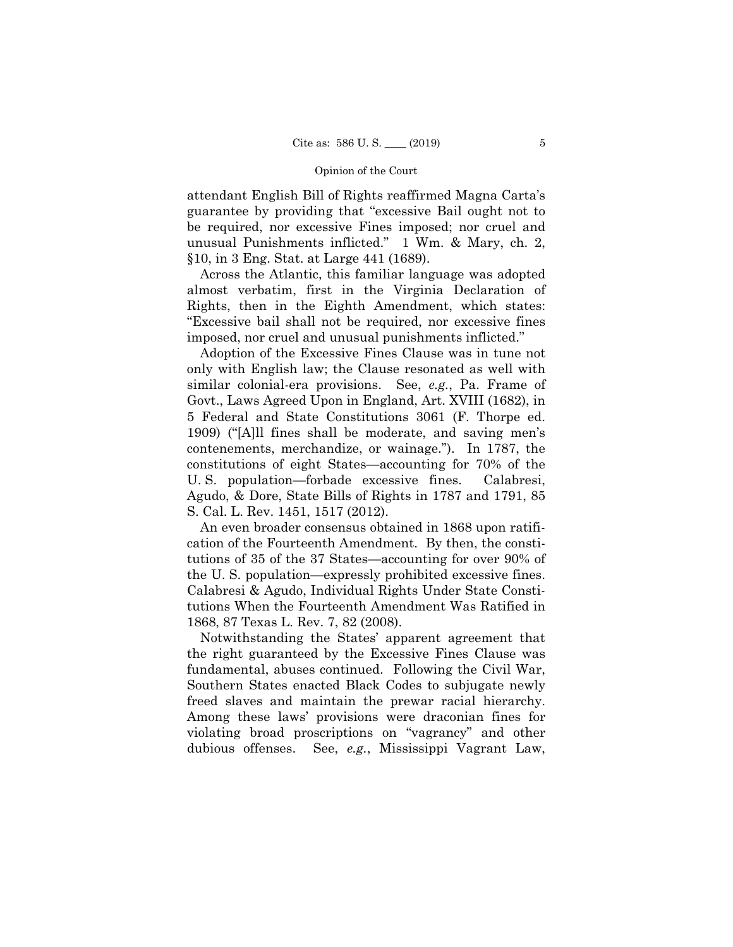attendant English Bill of Rights reaffirmed Magna Carta's guarantee by providing that "excessive Bail ought not to be required, nor excessive Fines imposed; nor cruel and unusual Punishments inflicted." 1 Wm. & Mary, ch. 2, §10, in 3 Eng. Stat. at Large 441 (1689).

Across the Atlantic, this familiar language was adopted almost verbatim, first in the Virginia Declaration of Rights, then in the Eighth Amendment, which states: "Excessive bail shall not be required, nor excessive fines imposed, nor cruel and unusual punishments inflicted."

Adoption of the Excessive Fines Clause was in tune not only with English law; the Clause resonated as well with similar colonial-era provisions. See, *e.g.*, Pa. Frame of Govt., Laws Agreed Upon in England, Art. XVIII (1682), in 5 Federal and State Constitutions 3061 (F. Thorpe ed. 1909) ("[A]ll fines shall be moderate, and saving men's contenements, merchandize, or wainage."). In 1787, the constitutions of eight States—accounting for 70% of the U. S. population—forbade excessive fines. Calabresi, Agudo, & Dore, State Bills of Rights in 1787 and 1791, 85 S. Cal. L. Rev. 1451, 1517 (2012).

An even broader consensus obtained in 1868 upon ratification of the Fourteenth Amendment. By then, the constitutions of 35 of the 37 States—accounting for over 90% of the U. S. population—expressly prohibited excessive fines. Calabresi & Agudo, Individual Rights Under State Constitutions When the Fourteenth Amendment Was Ratified in 1868, 87 Texas L. Rev. 7, 82 (2008).

Notwithstanding the States' apparent agreement that the right guaranteed by the Excessive Fines Clause was fundamental, abuses continued. Following the Civil War, Southern States enacted Black Codes to subjugate newly freed slaves and maintain the prewar racial hierarchy. Among these laws' provisions were draconian fines for violating broad proscriptions on "vagrancy" and other dubious offenses. See, *e.g.*, Mississippi Vagrant Law,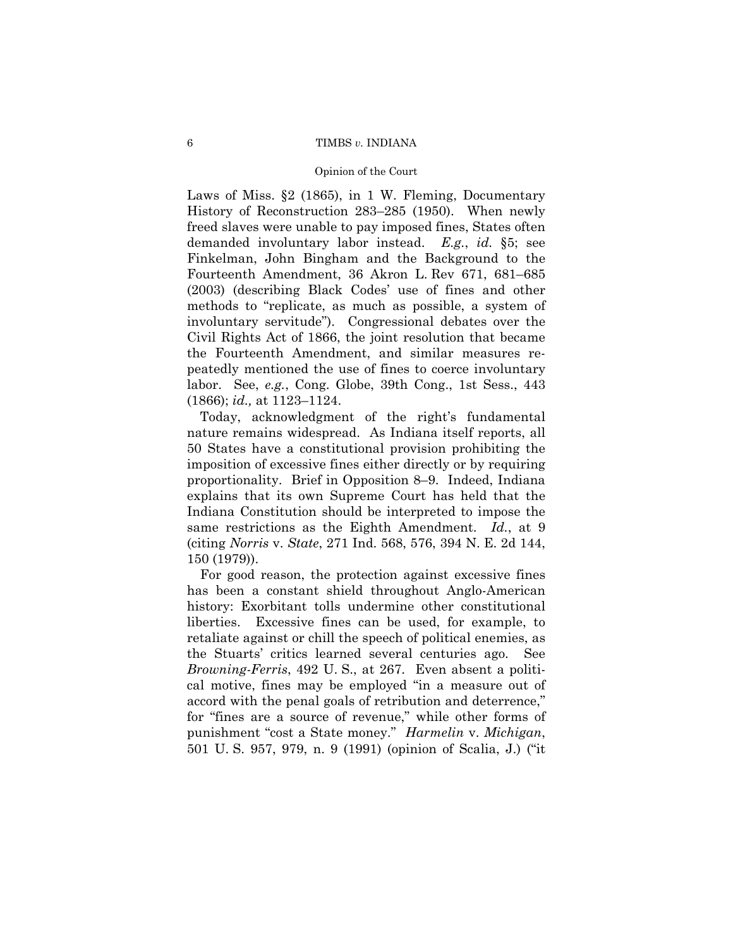# 6 TIMBS *v.* INDIANA

### Opinion of the Court

Laws of Miss. §2 (1865), in 1 W. Fleming, Documentary History of Reconstruction 283–285 (1950). When newly freed slaves were unable to pay imposed fines, States often demanded involuntary labor instead. *E.g.*, *id.* §5; see Finkelman, John Bingham and the Background to the Fourteenth Amendment, 36 Akron L. Rev 671, 681–685 (2003) (describing Black Codes' use of fines and other methods to "replicate, as much as possible, a system of involuntary servitude"). Congressional debates over the Civil Rights Act of 1866, the joint resolution that became the Fourteenth Amendment, and similar measures repeatedly mentioned the use of fines to coerce involuntary labor. See, *e.g.*, Cong. Globe, 39th Cong., 1st Sess., 443 (1866); *id.,* at 1123–1124.

Today, acknowledgment of the right's fundamental nature remains widespread. As Indiana itself reports, all 50 States have a constitutional provision prohibiting the imposition of excessive fines either directly or by requiring proportionality. Brief in Opposition 8–9. Indeed, Indiana explains that its own Supreme Court has held that the Indiana Constitution should be interpreted to impose the same restrictions as the Eighth Amendment. *Id.*, at 9 (citing *Norris* v. *State*, 271 Ind. 568, 576, 394 N. E. 2d 144, 150 (1979)).

For good reason, the protection against excessive fines has been a constant shield throughout Anglo-American history: Exorbitant tolls undermine other constitutional liberties. Excessive fines can be used, for example, to retaliate against or chill the speech of political enemies, as the Stuarts' critics learned several centuries ago. See *Browning-Ferris*, 492 U. S., at 267. Even absent a political motive, fines may be employed "in a measure out of accord with the penal goals of retribution and deterrence," for "fines are a source of revenue," while other forms of punishment "cost a State money." *Harmelin* v. *Michigan*, 501 U. S. 957, 979, n. 9 (1991) (opinion of Scalia, J.) ("it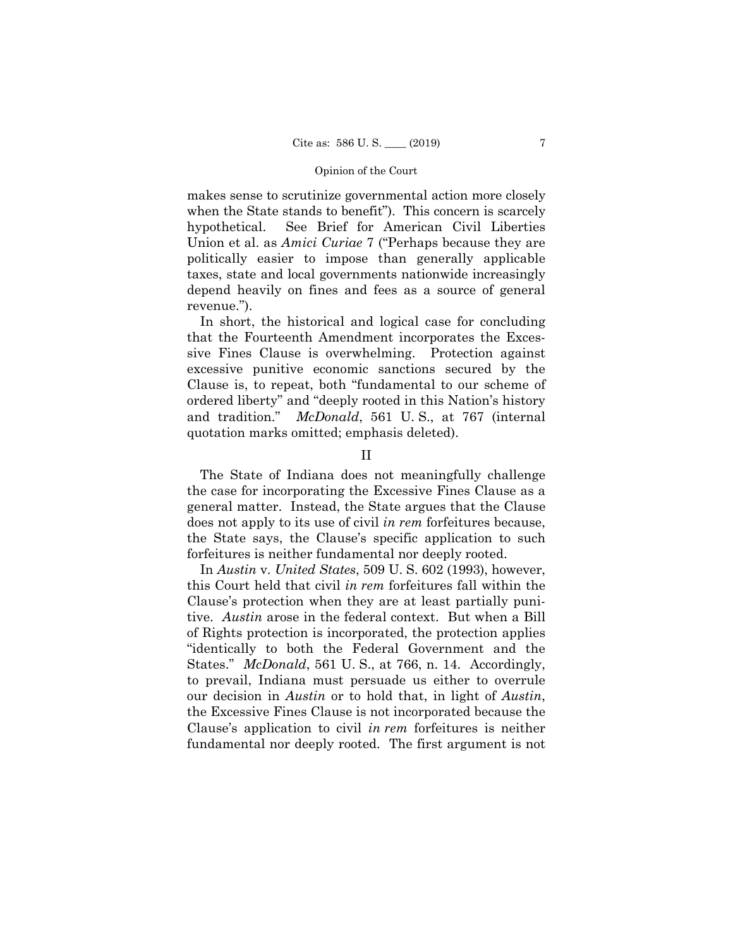makes sense to scrutinize governmental action more closely when the State stands to benefit"). This concern is scarcely hypothetical. See Brief for American Civil Liberties Union et al. as *Amici Curiae* 7 ("Perhaps because they are politically easier to impose than generally applicable taxes, state and local governments nationwide increasingly depend heavily on fines and fees as a source of general revenue.").

In short, the historical and logical case for concluding that the Fourteenth Amendment incorporates the Excessive Fines Clause is overwhelming. Protection against excessive punitive economic sanctions secured by the Clause is, to repeat, both "fundamental to our scheme of ordered liberty" and "deeply rooted in this Nation's history and tradition." *McDonald*, 561 U. S., at 767 (internal quotation marks omitted; emphasis deleted).

# II

The State of Indiana does not meaningfully challenge the case for incorporating the Excessive Fines Clause as a general matter. Instead, the State argues that the Clause does not apply to its use of civil *in rem* forfeitures because, the State says, the Clause's specific application to such forfeitures is neither fundamental nor deeply rooted.

In *Austin* v. *United States*, 509 U. S. 602 (1993), however, this Court held that civil *in rem* forfeitures fall within the Clause's protection when they are at least partially punitive. *Austin* arose in the federal context. But when a Bill of Rights protection is incorporated, the protection applies "identically to both the Federal Government and the States." *McDonald*, 561 U. S., at 766, n. 14. Accordingly, to prevail, Indiana must persuade us either to overrule our decision in *Austin* or to hold that, in light of *Austin*, the Excessive Fines Clause is not incorporated because the Clause's application to civil *in rem* forfeitures is neither fundamental nor deeply rooted. The first argument is not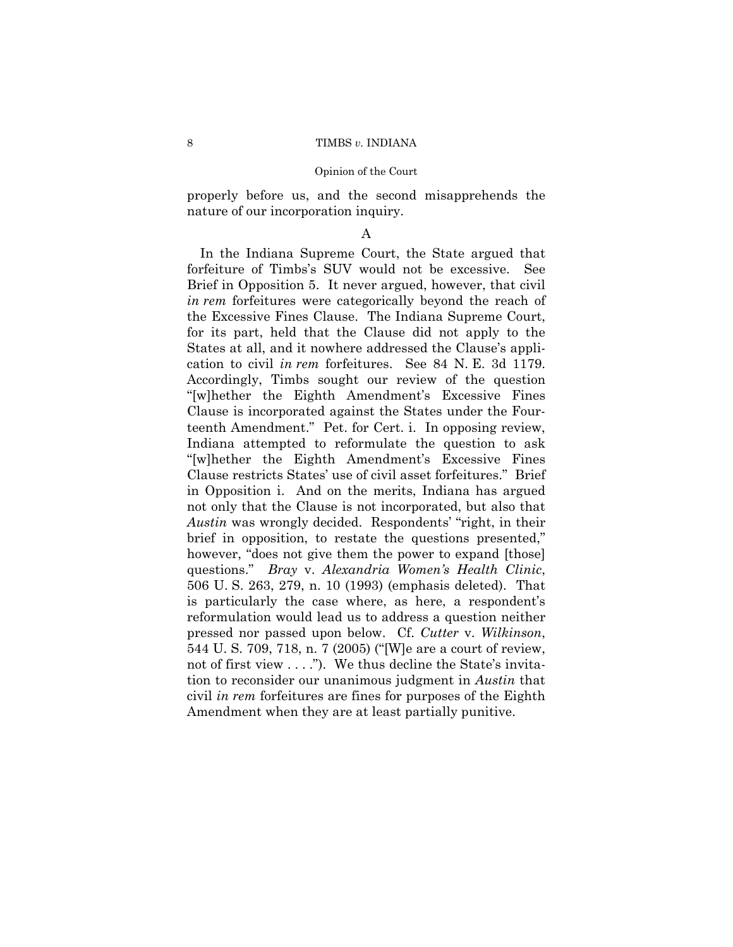properly before us, and the second misapprehends the nature of our incorporation inquiry.

# A

 questions." *Bray* v. *Alexandria Women's Health Clinic*, In the Indiana Supreme Court, the State argued that forfeiture of Timbs's SUV would not be excessive. See Brief in Opposition 5. It never argued, however, that civil *in rem* forfeitures were categorically beyond the reach of the Excessive Fines Clause. The Indiana Supreme Court, for its part, held that the Clause did not apply to the States at all, and it nowhere addressed the Clause's application to civil *in rem* forfeitures. See 84 N. E. 3d 1179. Accordingly, Timbs sought our review of the question "[w]hether the Eighth Amendment's Excessive Fines Clause is incorporated against the States under the Fourteenth Amendment." Pet. for Cert. i. In opposing review, Indiana attempted to reformulate the question to ask "[w]hether the Eighth Amendment's Excessive Fines Clause restricts States' use of civil asset forfeitures." Brief in Opposition i. And on the merits, Indiana has argued not only that the Clause is not incorporated, but also that *Austin* was wrongly decided. Respondents' "right, in their brief in opposition, to restate the questions presented," however, "does not give them the power to expand [those] 506 U. S. 263, 279, n. 10 (1993) (emphasis deleted). That is particularly the case where, as here, a respondent's reformulation would lead us to address a question neither pressed nor passed upon below. Cf. *Cutter* v. *Wilkinson*, 544 U. S. 709, 718, n. 7 (2005) ("[W]e are a court of review, not of first view . . . ."). We thus decline the State's invitation to reconsider our unanimous judgment in *Austin* that civil *in rem* forfeitures are fines for purposes of the Eighth Amendment when they are at least partially punitive.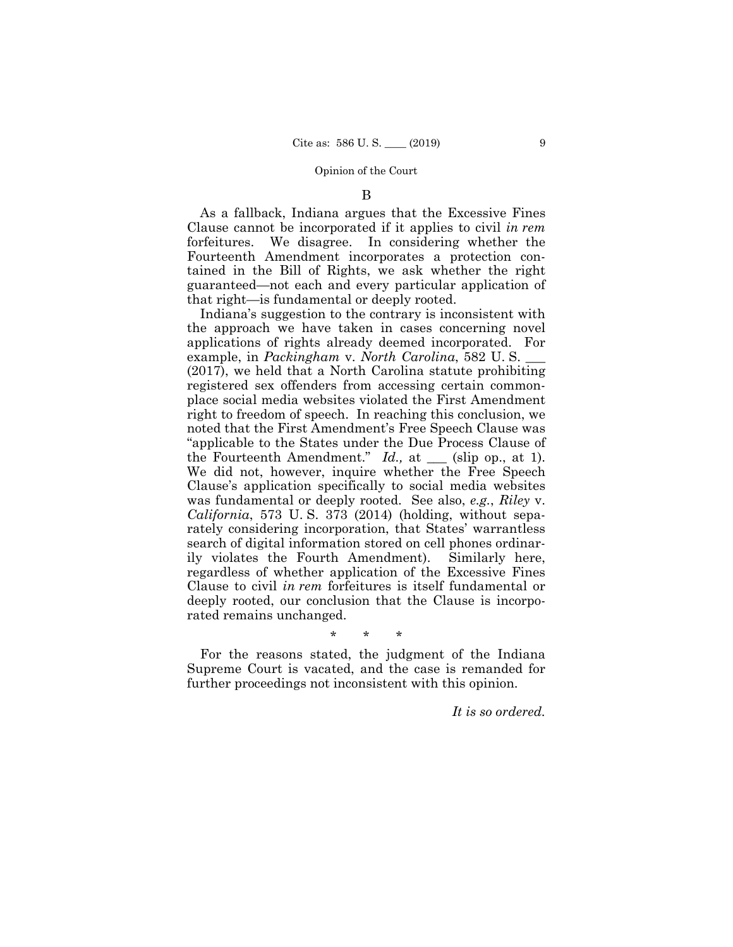B

As a fallback, Indiana argues that the Excessive Fines Clause cannot be incorporated if it applies to civil *in rem*  forfeitures. We disagree. In considering whether the Fourteenth Amendment incorporates a protection contained in the Bill of Rights, we ask whether the right guaranteed—not each and every particular application of that right—is fundamental or deeply rooted.

Indiana's suggestion to the contrary is inconsistent with the approach we have taken in cases concerning novel applications of rights already deemed incorporated. For example, in *Packingham* v. *North Carolina*, 582 U. S. \_\_\_ (2017), we held that a North Carolina statute prohibiting registered sex offenders from accessing certain commonplace social media websites violated the First Amendment right to freedom of speech. In reaching this conclusion, we noted that the First Amendment's Free Speech Clause was "applicable to the States under the Due Process Clause of the Fourteenth Amendment." *Id.,* at \_\_\_ (slip op., at 1). We did not, however, inquire whether the Free Speech Clause's application specifically to social media websites was fundamental or deeply rooted. See also, *e.g.*, *Riley* v. *California*, 573 U. S. 373 (2014) (holding, without separately considering incorporation, that States' warrantless search of digital information stored on cell phones ordinarily violates the Fourth Amendment). Similarly here, regardless of whether application of the Excessive Fines Clause to civil *in rem* forfeitures is itself fundamental or deeply rooted, our conclusion that the Clause is incorporated remains unchanged.

\* \* \*

For the reasons stated, the judgment of the Indiana Supreme Court is vacated, and the case is remanded for further proceedings not inconsistent with this opinion.

*It is so ordered.*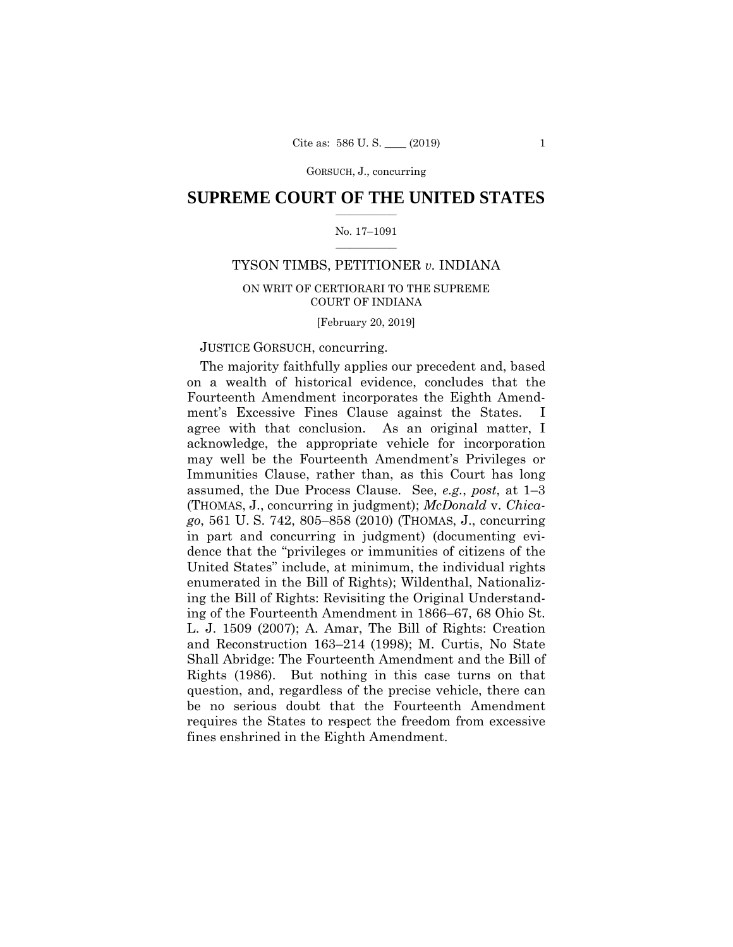GORSUCH, J., concurring

# $\frac{1}{2}$  ,  $\frac{1}{2}$  ,  $\frac{1}{2}$  ,  $\frac{1}{2}$  ,  $\frac{1}{2}$  ,  $\frac{1}{2}$  ,  $\frac{1}{2}$ **SUPREME COURT OF THE UNITED STATES**

# $\frac{1}{2}$  ,  $\frac{1}{2}$  ,  $\frac{1}{2}$  ,  $\frac{1}{2}$  ,  $\frac{1}{2}$  ,  $\frac{1}{2}$ No. 17–1091

# TYSON TIMBS, PETITIONER *v.* INDIANA

# ON WRIT OF CERTIORARI TO THE SUPREME COURT OF INDIANA

[February 20, 2019]

# JUSTICE GORSUCH, concurring.

 (THOMAS, J., concurring in judgment); *McDonald* v. *Chica-*The majority faithfully applies our precedent and, based on a wealth of historical evidence, concludes that the Fourteenth Amendment incorporates the Eighth Amendment's Excessive Fines Clause against the States. I agree with that conclusion. As an original matter, I acknowledge, the appropriate vehicle for incorporation may well be the Fourteenth Amendment's Privileges or Immunities Clause, rather than, as this Court has long assumed, the Due Process Clause. See, *e.g.*, *post*, at 1–3 *go*, 561 U. S. 742, 805–858 (2010) (THOMAS, J., concurring in part and concurring in judgment) (documenting evidence that the "privileges or immunities of citizens of the United States" include, at minimum, the individual rights enumerated in the Bill of Rights); Wildenthal, Nationalizing the Bill of Rights: Revisiting the Original Understanding of the Fourteenth Amendment in 1866–67, 68 Ohio St. L. J. 1509 (2007); A. Amar, The Bill of Rights: Creation and Reconstruction 163–214 (1998); M. Curtis, No State Shall Abridge: The Fourteenth Amendment and the Bill of Rights (1986). But nothing in this case turns on that question, and, regardless of the precise vehicle, there can be no serious doubt that the Fourteenth Amendment requires the States to respect the freedom from excessive fines enshrined in the Eighth Amendment.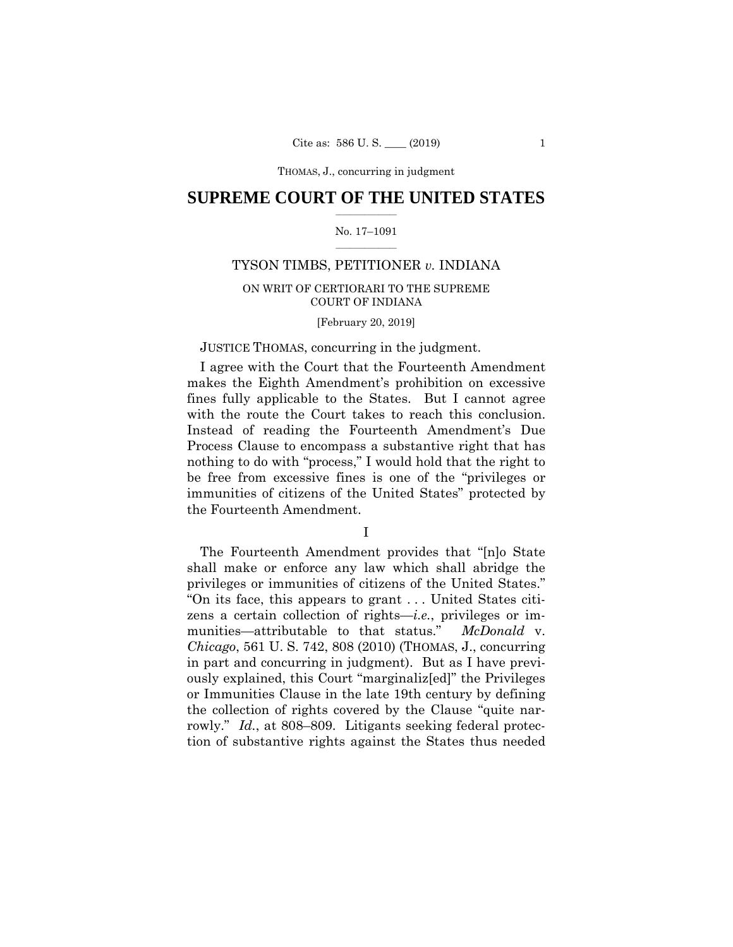# $\frac{1}{2}$  ,  $\frac{1}{2}$  ,  $\frac{1}{2}$  ,  $\frac{1}{2}$  ,  $\frac{1}{2}$  ,  $\frac{1}{2}$  ,  $\frac{1}{2}$ **SUPREME COURT OF THE UNITED STATES**

# $\frac{1}{2}$  ,  $\frac{1}{2}$  ,  $\frac{1}{2}$  ,  $\frac{1}{2}$  ,  $\frac{1}{2}$  ,  $\frac{1}{2}$ No. 17–1091

# TYSON TIMBS, PETITIONER *v.* INDIANA

# ON WRIT OF CERTIORARI TO THE SUPREME COURT OF INDIANA

# [February 20, 2019]

# JUSTICE THOMAS, concurring in the judgment.

I agree with the Court that the Fourteenth Amendment makes the Eighth Amendment's prohibition on excessive fines fully applicable to the States. But I cannot agree with the route the Court takes to reach this conclusion. Instead of reading the Fourteenth Amendment's Due Process Clause to encompass a substantive right that has nothing to do with "process," I would hold that the right to be free from excessive fines is one of the "privileges or immunities of citizens of the United States" protected by the Fourteenth Amendment.

I

The Fourteenth Amendment provides that "[n]o State shall make or enforce any law which shall abridge the privileges or immunities of citizens of the United States." "On its face, this appears to grant . . . United States citizens a certain collection of rights—*i.e.*, privileges or immunities—attributable to that status." *McDonald* v. *Chicago*, 561 U. S. 742, 808 (2010) (THOMAS, J., concurring in part and concurring in judgment). But as I have previously explained, this Court "marginaliz[ed]" the Privileges or Immunities Clause in the late 19th century by defining the collection of rights covered by the Clause "quite narrowly." *Id.*, at 808–809. Litigants seeking federal protection of substantive rights against the States thus needed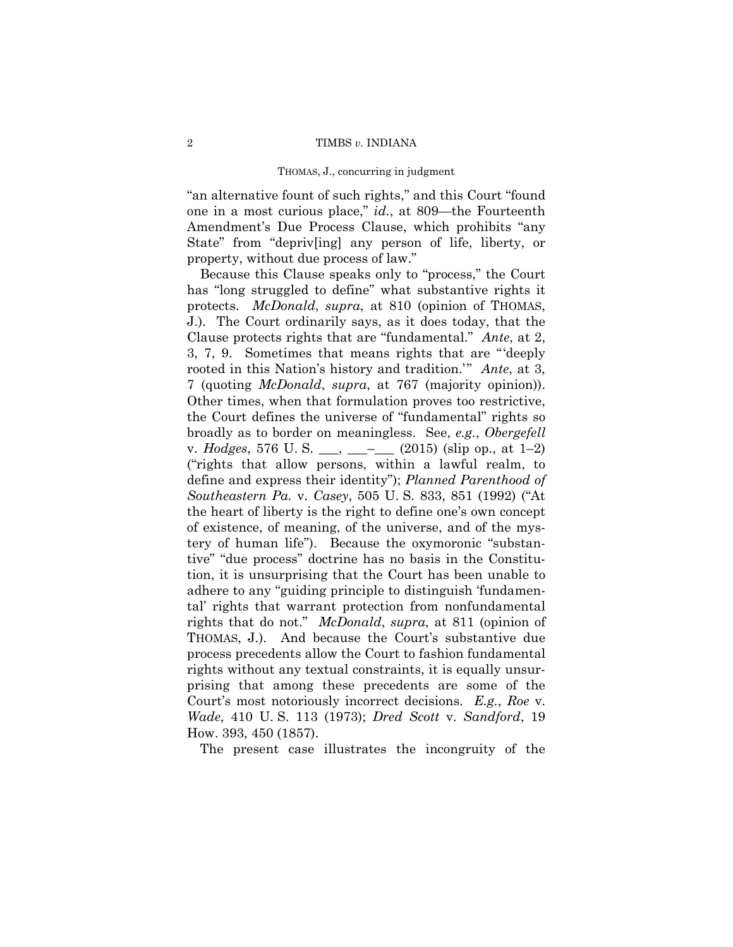"an alternative fount of such rights," and this Court "found one in a most curious place," *id.*, at 809—the Fourteenth Amendment's Due Process Clause, which prohibits "any State" from "depriv[ing] any person of life, liberty, or property, without due process of law."

Because this Clause speaks only to "process," the Court has "long struggled to define" what substantive rights it protects. *McDonald*, *supra*, at 810 (opinion of THOMAS, J.). The Court ordinarily says, as it does today, that the Clause protects rights that are "fundamental." *Ante*, at 2, 3, 7, 9. Sometimes that means rights that are "'deeply rooted in this Nation's history and tradition.'" *Ante*, at 3, 7 (quoting *McDonald*, *supra*, at 767 (majority opinion)). Other times, when that formulation proves too restrictive, the Court defines the universe of "fundamental" rights so broadly as to border on meaningless. See, *e.g.*, *Obergefell*  v. *Hodges*, 576 U. S. \_\_\_, \_\_\_–\_\_\_ (2015) (slip op., at 1–2) ("rights that allow persons, within a lawful realm, to define and express their identity"); *Planned Parenthood of Southeastern Pa.* v. *Casey*, 505 U. S. 833, 851 (1992) ("At the heart of liberty is the right to define one's own concept of existence, of meaning, of the universe, and of the mystery of human life"). Because the oxymoronic "substantive" "due process" doctrine has no basis in the Constitution, it is unsurprising that the Court has been unable to adhere to any "guiding principle to distinguish 'fundamental' rights that warrant protection from nonfundamental rights that do not." *McDonald*, *supra*, at 811 (opinion of THOMAS, J.). And because the Court's substantive due process precedents allow the Court to fashion fundamental rights without any textual constraints, it is equally unsurprising that among these precedents are some of the Court's most notoriously incorrect decisions. *E.g.*, *Roe* v. *Wade*, 410 U. S. 113 (1973); *Dred Scott* v. *Sandford*, 19 How. 393, 450 (1857).

The present case illustrates the incongruity of the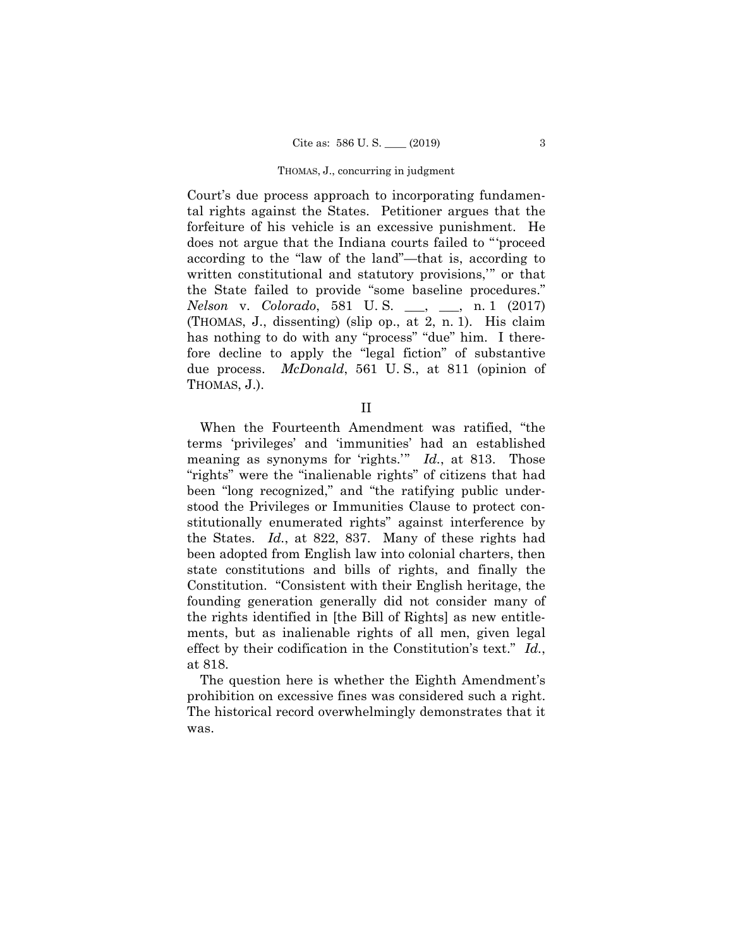Court's due process approach to incorporating fundamental rights against the States. Petitioner argues that the forfeiture of his vehicle is an excessive punishment. He does not argue that the Indiana courts failed to "'proceed according to the "law of the land"—that is, according to written constitutional and statutory provisions,'" or that the State failed to provide "some baseline procedures." *Nelson* v. *Colorado*, 581 U. S. \_\_\_, \_\_\_, n. 1 (2017) (THOMAS, J., dissenting) (slip op., at 2, n. 1). His claim has nothing to do with any "process" "due" him. I therefore decline to apply the "legal fiction" of substantive due process. *McDonald*, 561 U. S., at 811 (opinion of THOMAS, J.).

# II

When the Fourteenth Amendment was ratified, "the terms 'privileges' and 'immunities' had an established meaning as synonyms for 'rights.'" *Id.*, at 813. Those "rights" were the "inalienable rights" of citizens that had been "long recognized," and "the ratifying public understood the Privileges or Immunities Clause to protect constitutionally enumerated rights" against interference by the States. *Id.*, at 822, 837. Many of these rights had been adopted from English law into colonial charters, then state constitutions and bills of rights, and finally the Constitution. "Consistent with their English heritage, the founding generation generally did not consider many of the rights identified in [the Bill of Rights] as new entitlements, but as inalienable rights of all men, given legal effect by their codification in the Constitution's text." *Id.*, at 818.

The question here is whether the Eighth Amendment's prohibition on excessive fines was considered such a right. The historical record overwhelmingly demonstrates that it was.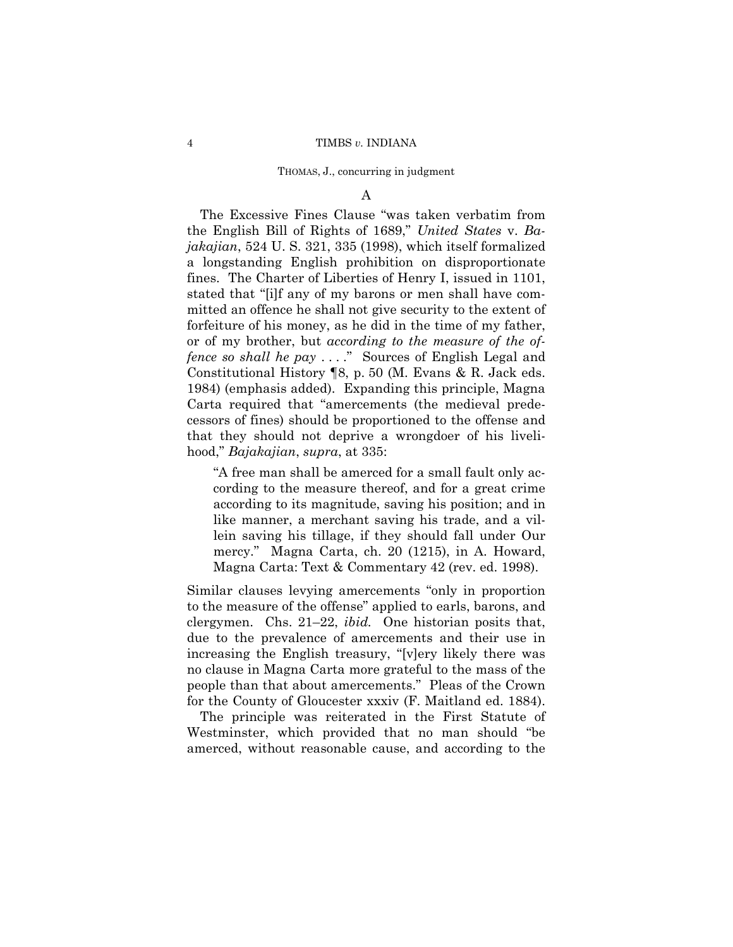A

The Excessive Fines Clause "was taken verbatim from the English Bill of Rights of 1689," *United States* v. *Bajakajian*, 524 U. S. 321, 335 (1998), which itself formalized a longstanding English prohibition on disproportionate fines. The Charter of Liberties of Henry I, issued in 1101, stated that "[i]f any of my barons or men shall have committed an offence he shall not give security to the extent of forfeiture of his money, as he did in the time of my father, or of my brother, but *according to the measure of the offence so shall he pay* . . . ." Sources of English Legal and Constitutional History ¶8, p. 50 (M. Evans & R. Jack eds. 1984) (emphasis added). Expanding this principle, Magna Carta required that "amercements (the medieval predecessors of fines) should be proportioned to the offense and that they should not deprive a wrongdoer of his livelihood," *Bajakajian*, *supra*, at 335:

"A free man shall be amerced for a small fault only according to the measure thereof, and for a great crime according to its magnitude, saving his position; and in like manner, a merchant saving his trade, and a villein saving his tillage, if they should fall under Our mercy." Magna Carta, ch. 20 (1215), in A. Howard, Magna Carta: Text & Commentary 42 (rev. ed. 1998).

Similar clauses levying amercements "only in proportion to the measure of the offense" applied to earls, barons, and clergymen. Chs. 21–22, *ibid.* One historian posits that, due to the prevalence of amercements and their use in increasing the English treasury, "[v]ery likely there was no clause in Magna Carta more grateful to the mass of the people than that about amercements." Pleas of the Crown for the County of Gloucester xxxiv (F. Maitland ed. 1884).

The principle was reiterated in the First Statute of Westminster, which provided that no man should "be amerced, without reasonable cause, and according to the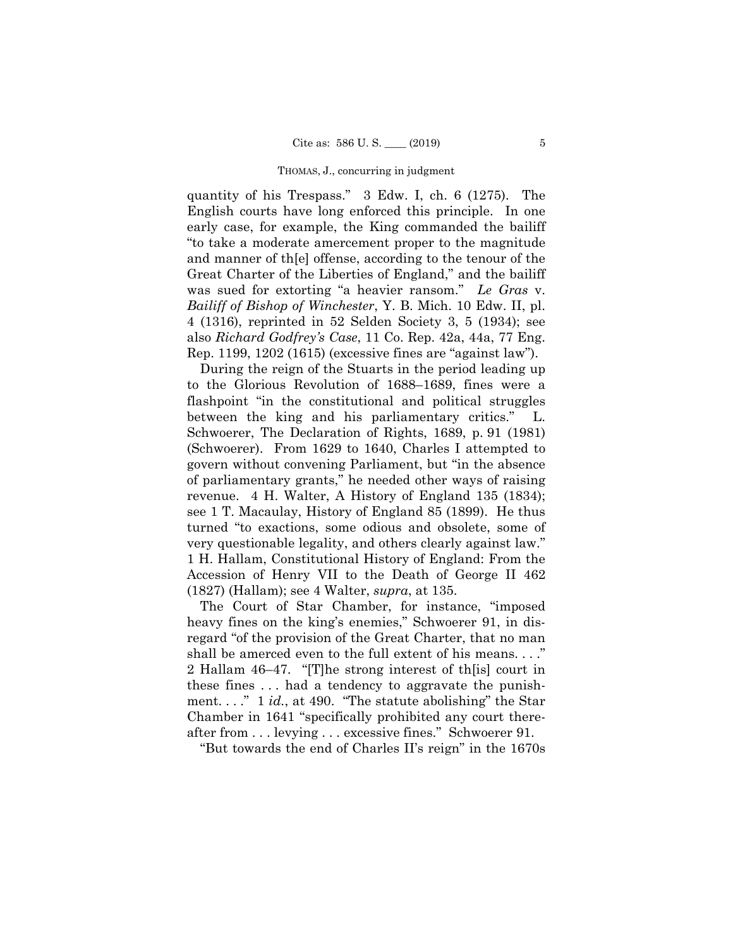was sued for extorting "a heavier ransom." *Le Gras* v. quantity of his Trespass." 3 Edw. I, ch. 6 (1275). The English courts have long enforced this principle. In one early case, for example, the King commanded the bailiff "to take a moderate amercement proper to the magnitude and manner of th[e] offense, according to the tenour of the Great Charter of the Liberties of England," and the bailiff *Bailiff of Bishop of Winchester*, Y. B. Mich. 10 Edw. II, pl. 4 (1316), reprinted in 52 Selden Society 3, 5 (1934); see also *Richard Godfrey's Case*, 11 Co. Rep. 42a, 44a, 77 Eng. Rep. 1199, 1202 (1615) (excessive fines are "against law").

During the reign of the Stuarts in the period leading up to the Glorious Revolution of 1688–1689, fines were a flashpoint "in the constitutional and political struggles between the king and his parliamentary critics." L. Schwoerer, The Declaration of Rights, 1689, p. 91 (1981) (Schwoerer). From 1629 to 1640, Charles I attempted to govern without convening Parliament, but "in the absence of parliamentary grants," he needed other ways of raising revenue. 4 H. Walter, A History of England 135 (1834); see 1 T. Macaulay, History of England 85 (1899). He thus turned "to exactions, some odious and obsolete, some of very questionable legality, and others clearly against law." 1 H. Hallam, Constitutional History of England: From the Accession of Henry VII to the Death of George II 462 (1827) (Hallam); see 4 Walter, *supra*, at 135.

The Court of Star Chamber, for instance, "imposed heavy fines on the king's enemies," Schwoerer 91, in disregard "of the provision of the Great Charter, that no man shall be amerced even to the full extent of his means...." 2 Hallam 46–47. "[T]he strong interest of th[is] court in these fines . . . had a tendency to aggravate the punishment. . . ." 1 *id.*, at 490. "The statute abolishing" the Star Chamber in 1641 "specifically prohibited any court thereafter from . . . levying . . . excessive fines." Schwoerer 91.

"But towards the end of Charles II's reign" in the 1670s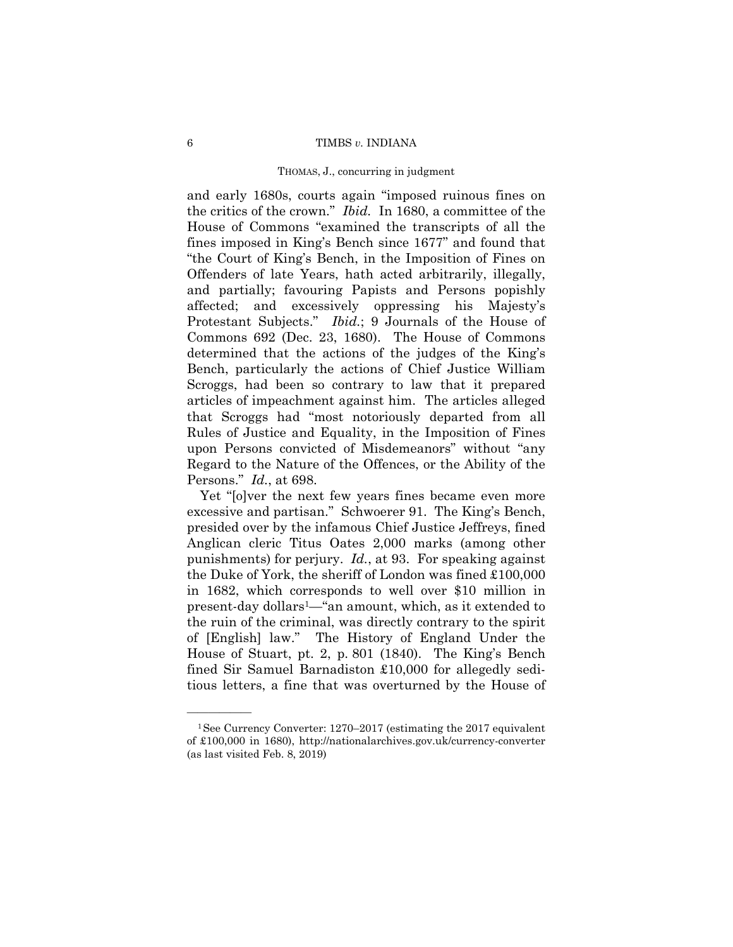and early 1680s, courts again "imposed ruinous fines on the critics of the crown." *Ibid.* In 1680, a committee of the House of Commons "examined the transcripts of all the fines imposed in King's Bench since 1677" and found that "the Court of King's Bench, in the Imposition of Fines on Offenders of late Years, hath acted arbitrarily, illegally, and partially; favouring Papists and Persons popishly affected; and excessively oppressing his Majesty's Protestant Subjects." *Ibid.*; 9 Journals of the House of Commons 692 (Dec. 23, 1680). The House of Commons determined that the actions of the judges of the King's Bench, particularly the actions of Chief Justice William Scroggs, had been so contrary to law that it prepared articles of impeachment against him. The articles alleged that Scroggs had "most notoriously departed from all Rules of Justice and Equality, in the Imposition of Fines upon Persons convicted of Misdemeanors" without "any Regard to the Nature of the Offences, or the Ability of the Persons." *Id.*, at 698.

Yet "[o]ver the next few years fines became even more excessive and partisan." Schwoerer 91. The King's Bench, presided over by the infamous Chief Justice Jeffreys, fined Anglican cleric Titus Oates 2,000 marks (among other punishments) for perjury. *Id.*, at 93. For speaking against the Duke of York, the sheriff of London was fined £100,000 in 1682, which corresponds to well over \$10 million in present-day dollars1—"an amount, which, as it extended to the ruin of the criminal, was directly contrary to the spirit of [English] law." The History of England Under the House of Stuart, pt. 2, p. 801 (1840). The King's Bench fined Sir Samuel Barnadiston £10,000 for allegedly seditious letters, a fine that was overturned by the House of

——————

<sup>1</sup>See Currency Converter: 1270–2017 (estimating the 2017 equivalent of £100,000 in 1680), <http://nationalarchives.gov.uk/currency-converter> (as last visited Feb. 8, 2019)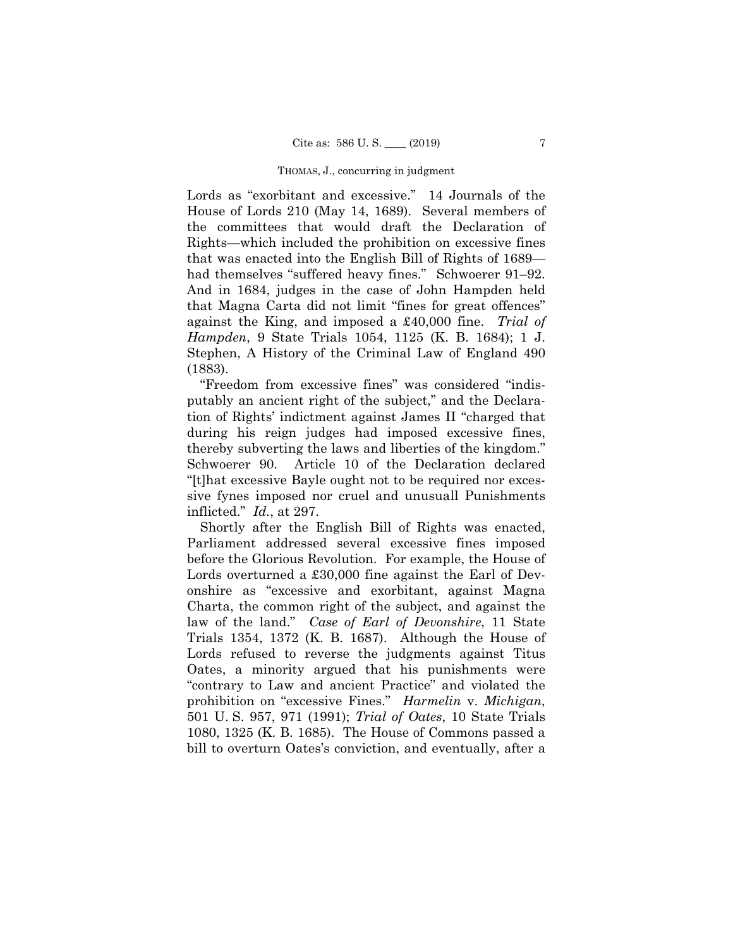had themselves "suffered heavy fines." Schwoerer 91–92. And in 1684, judges in the case of John Hampden held Lords as "exorbitant and excessive." 14 Journals of the House of Lords 210 (May 14, 1689). Several members of the committees that would draft the Declaration of Rights—which included the prohibition on excessive fines that was enacted into the English Bill of Rights of 1689 that Magna Carta did not limit "fines for great offences" against the King, and imposed a £40,000 fine. *Trial of Hampden*, 9 State Trials 1054, 1125 (K. B. 1684); 1 J. Stephen, A History of the Criminal Law of England 490 (1883).

Schwoerer 90. Article 10 of the Declaration declared "Freedom from excessive fines" was considered "indisputably an ancient right of the subject," and the Declaration of Rights' indictment against James II "charged that during his reign judges had imposed excessive fines, thereby subverting the laws and liberties of the kingdom." "[t]hat excessive Bayle ought not to be required nor excessive fynes imposed nor cruel and unusuall Punishments inflicted." *Id.*, at 297.

Shortly after the English Bill of Rights was enacted, Parliament addressed several excessive fines imposed before the Glorious Revolution. For example, the House of Lords overturned a £30,000 fine against the Earl of Devonshire as "excessive and exorbitant, against Magna Charta, the common right of the subject, and against the law of the land." *Case of Earl of Devonshire*, 11 State Trials 1354, 1372 (K. B. 1687). Although the House of Lords refused to reverse the judgments against Titus Oates, a minority argued that his punishments were "contrary to Law and ancient Practice" and violated the prohibition on "excessive Fines." *Harmelin* v. *Michigan*, 501 U. S. 957, 971 (1991); *Trial of Oates*, 10 State Trials 1080, 1325 (K. B. 1685). The House of Commons passed a bill to overturn Oates's conviction, and eventually, after a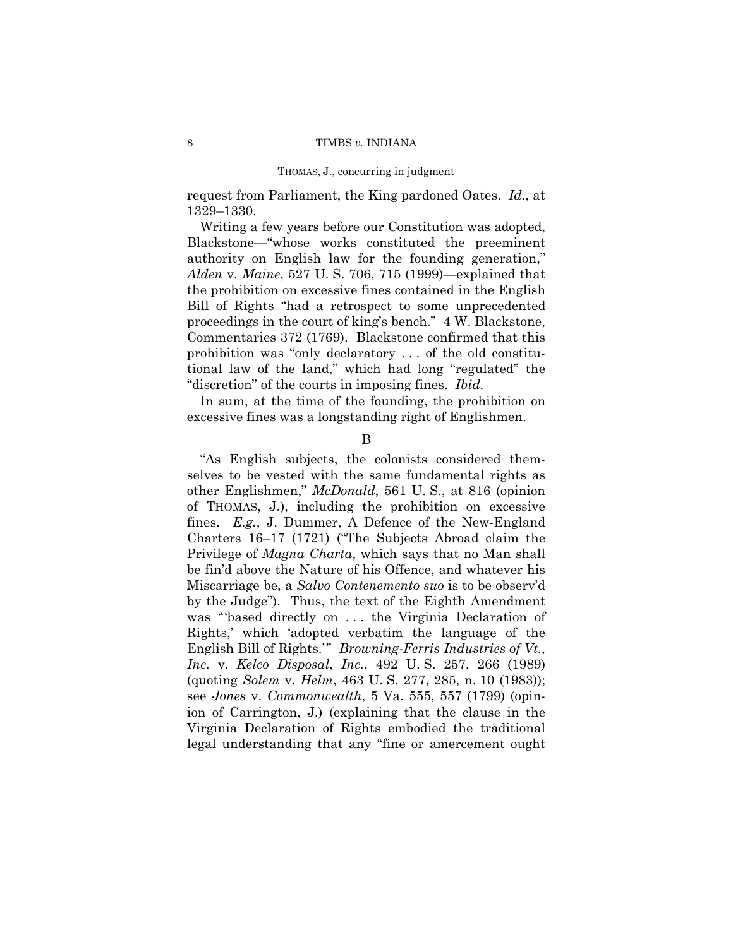request from Parliament, the King pardoned Oates. *Id.*, at 1329–1330.

Writing a few years before our Constitution was adopted, Blackstone—"whose works constituted the preeminent authority on English law for the founding generation," *Alden* v. *Maine*, 527 U. S. 706, 715 (1999)—explained that the prohibition on excessive fines contained in the English Bill of Rights "had a retrospect to some unprecedented proceedings in the court of king's bench." 4 W. Blackstone, Commentaries 372 (1769). Blackstone confirmed that this prohibition was "only declaratory . . . of the old constitutional law of the land," which had long "regulated" the "discretion" of the courts in imposing fines. *Ibid.* 

In sum, at the time of the founding, the prohibition on excessive fines was a longstanding right of Englishmen.

B

"As English subjects, the colonists considered themselves to be vested with the same fundamental rights as other Englishmen," *McDonald*, 561 U. S., at 816 (opinion of THOMAS, J.), including the prohibition on excessive fines. *E.g.*, J. Dummer, A Defence of the New-England Charters 16–17 (1721) ("The Subjects Abroad claim the Privilege of *Magna Charta*, which says that no Man shall be fin'd above the Nature of his Offence, and whatever his Miscarriage be, a *Salvo Contenemento suo* is to be observ'd by the Judge"). Thus, the text of the Eighth Amendment was "'based directly on . . . the Virginia Declaration of Rights,' which 'adopted verbatim the language of the English Bill of Rights.'" *Browning-Ferris Industries of Vt.*, *Inc.* v. *Kelco Disposal*, *Inc.*, 492 U. S. 257, 266 (1989) (quoting *Solem* v. *Helm*, 463 U. S. 277, 285, n. 10 (1983)); see *Jones* v. *Commonwealth*, 5 Va. 555, 557 (1799) (opinion of Carrington, J.) (explaining that the clause in the Virginia Declaration of Rights embodied the traditional legal understanding that any "fine or amercement ought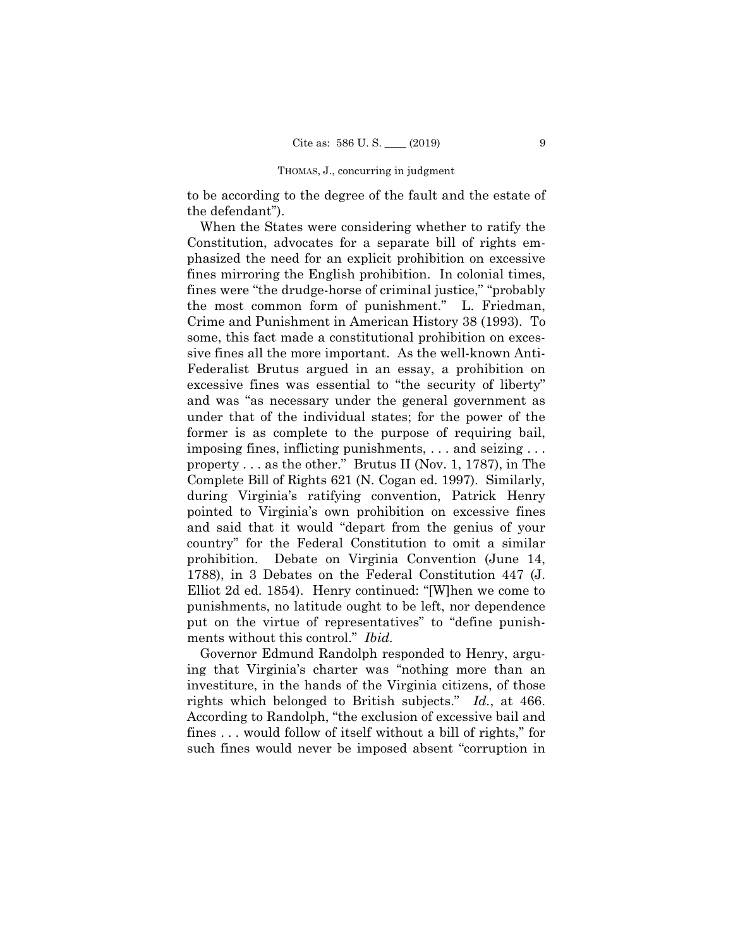to be according to the degree of the fault and the estate of the defendant").

When the States were considering whether to ratify the Constitution, advocates for a separate bill of rights emphasized the need for an explicit prohibition on excessive fines mirroring the English prohibition. In colonial times, fines were "the drudge-horse of criminal justice," "probably the most common form of punishment." L. Friedman, Crime and Punishment in American History 38 (1993). To some, this fact made a constitutional prohibition on excessive fines all the more important. As the well-known Anti-Federalist Brutus argued in an essay, a prohibition on excessive fines was essential to "the security of liberty" and was "as necessary under the general government as under that of the individual states; for the power of the former is as complete to the purpose of requiring bail, imposing fines, inflicting punishments, . . . and seizing . . . property . . . as the other." Brutus II (Nov. 1, 1787), in The Complete Bill of Rights 621 (N. Cogan ed. 1997). Similarly, during Virginia's ratifying convention, Patrick Henry pointed to Virginia's own prohibition on excessive fines and said that it would "depart from the genius of your country" for the Federal Constitution to omit a similar prohibition. Debate on Virginia Convention (June 14, 1788), in 3 Debates on the Federal Constitution 447 (J. Elliot 2d ed. 1854). Henry continued: "[W]hen we come to punishments, no latitude ought to be left, nor dependence put on the virtue of representatives" to "define punishments without this control." *Ibid.* 

rights which belonged to British subjects." Id., at 466. Governor Edmund Randolph responded to Henry, arguing that Virginia's charter was "nothing more than an investiture, in the hands of the Virginia citizens, of those According to Randolph, "the exclusion of excessive bail and fines . . . would follow of itself without a bill of rights," for such fines would never be imposed absent "corruption in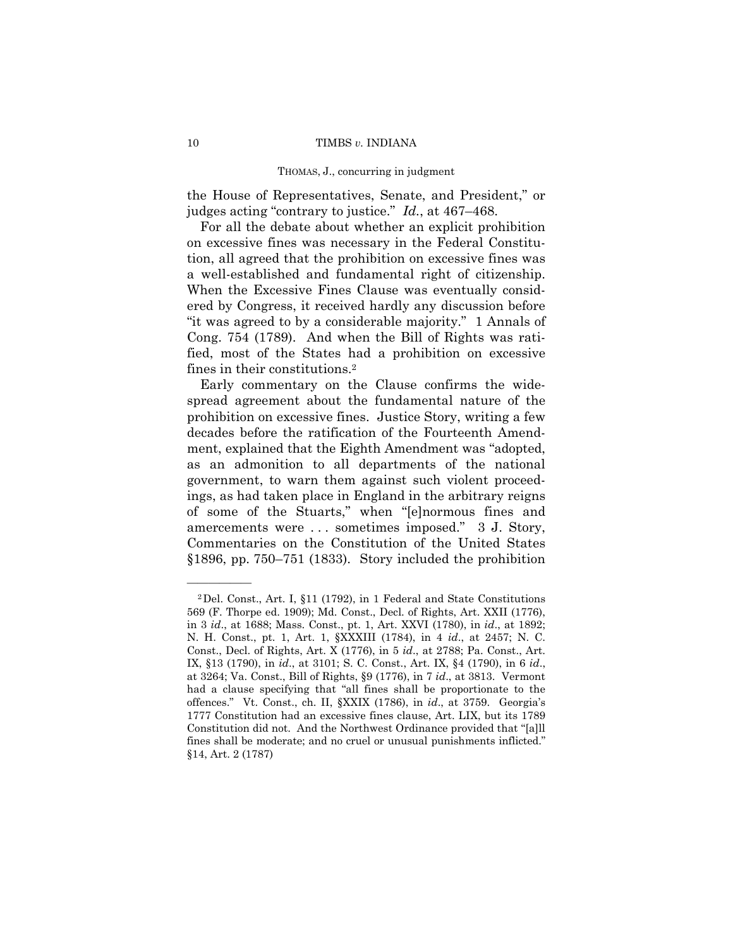the House of Representatives, Senate, and President," or judges acting "contrary to justice." *Id.*, at 467–468.

For all the debate about whether an explicit prohibition on excessive fines was necessary in the Federal Constitution, all agreed that the prohibition on excessive fines was a well-established and fundamental right of citizenship. When the Excessive Fines Clause was eventually considered by Congress, it received hardly any discussion before "it was agreed to by a considerable majority." 1 Annals of Cong. 754 (1789). And when the Bill of Rights was ratified, most of the States had a prohibition on excessive fines in their constitutions.2

Early commentary on the Clause confirms the widespread agreement about the fundamental nature of the prohibition on excessive fines. Justice Story, writing a few decades before the ratification of the Fourteenth Amendment, explained that the Eighth Amendment was "adopted, as an admonition to all departments of the national government, to warn them against such violent proceedings, as had taken place in England in the arbitrary reigns of some of the Stuarts," when "[e]normous fines and amercements were . . . sometimes imposed." 3 J. Story, Commentaries on the Constitution of the United States §1896, pp. 750–751 (1833). Story included the prohibition

——————

 fines shall be moderate; and no cruel or unusual punishments inflicted." 2Del. Const., Art. I, §11 (1792), in 1 Federal and State Constitutions 569 (F. Thorpe ed. 1909); Md. Const., Decl. of Rights, Art. XXII (1776), in 3 *id*., at 1688; Mass. Const., pt. 1, Art. XXVI (1780), in *id*., at 1892; N. H. Const., pt. 1, Art. 1, §XXXIII (1784), in 4 *id*., at 2457; N. C. Const., Decl. of Rights, Art. X (1776), in 5 *id*., at 2788; Pa. Const., Art. IX, §13 (1790), in *id*., at 3101; S. C. Const., Art. IX, §4 (1790), in 6 *id*., at 3264; Va. Const., Bill of Rights, §9 (1776), in 7 *id*., at 3813. Vermont had a clause specifying that "all fines shall be proportionate to the offences." Vt. Const., ch. II, §XXIX (1786), in *id*., at 3759. Georgia's 1777 Constitution had an excessive fines clause, Art. LIX, but its 1789 Constitution did not. And the Northwest Ordinance provided that "[a]ll §14, Art. 2 (1787)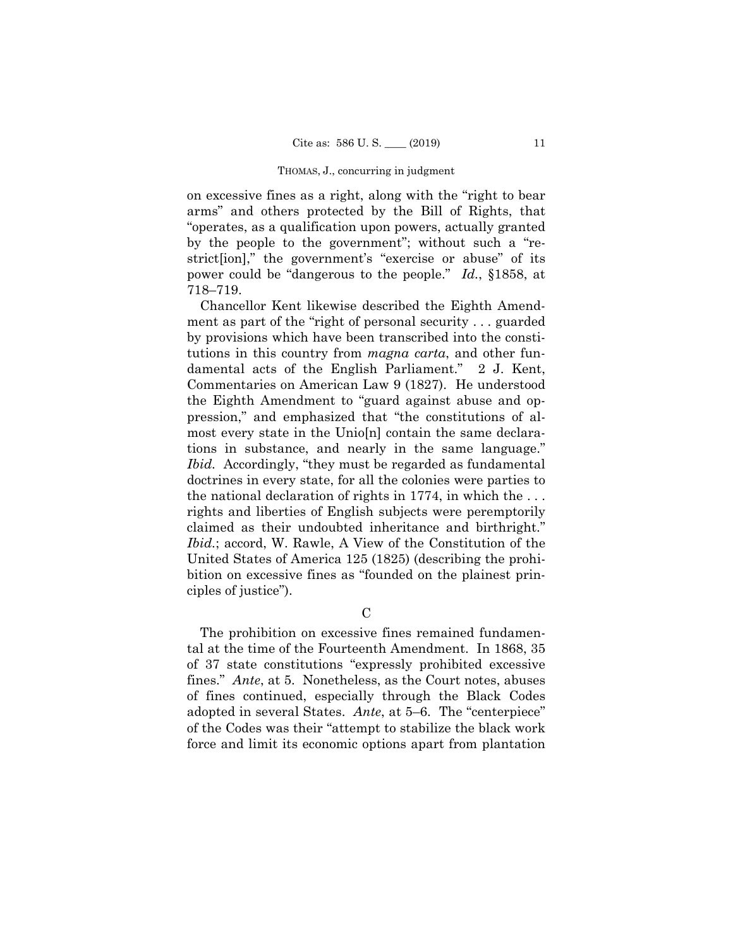on excessive fines as a right, along with the "right to bear arms" and others protected by the Bill of Rights, that "operates, as a qualification upon powers, actually granted by the people to the government"; without such a "restrict[ion]," the government's "exercise or abuse" of its power could be "dangerous to the people." *Id.*, §1858, at 718–719.

Chancellor Kent likewise described the Eighth Amendment as part of the "right of personal security . . . guarded by provisions which have been transcribed into the constitutions in this country from *magna carta*, and other fundamental acts of the English Parliament." 2 J. Kent, Commentaries on American Law 9 (1827). He understood the Eighth Amendment to "guard against abuse and oppression," and emphasized that "the constitutions of almost every state in the Unio[n] contain the same declarations in substance, and nearly in the same language." *Ibid.* Accordingly, "they must be regarded as fundamental doctrines in every state, for all the colonies were parties to the national declaration of rights in 1774, in which the . . . rights and liberties of English subjects were peremptorily claimed as their undoubted inheritance and birthright." *Ibid.*; accord, W. Rawle, A View of the Constitution of the United States of America 125 (1825) (describing the prohibition on excessive fines as "founded on the plainest principles of justice").

 $\mathcal{C}$ 

The prohibition on excessive fines remained fundamental at the time of the Fourteenth Amendment. In 1868, 35 of 37 state constitutions "expressly prohibited excessive fines." *Ante*, at 5. Nonetheless, as the Court notes, abuses of fines continued, especially through the Black Codes adopted in several States. *Ante*, at 5–6. The "centerpiece" of the Codes was their "attempt to stabilize the black work force and limit its economic options apart from plantation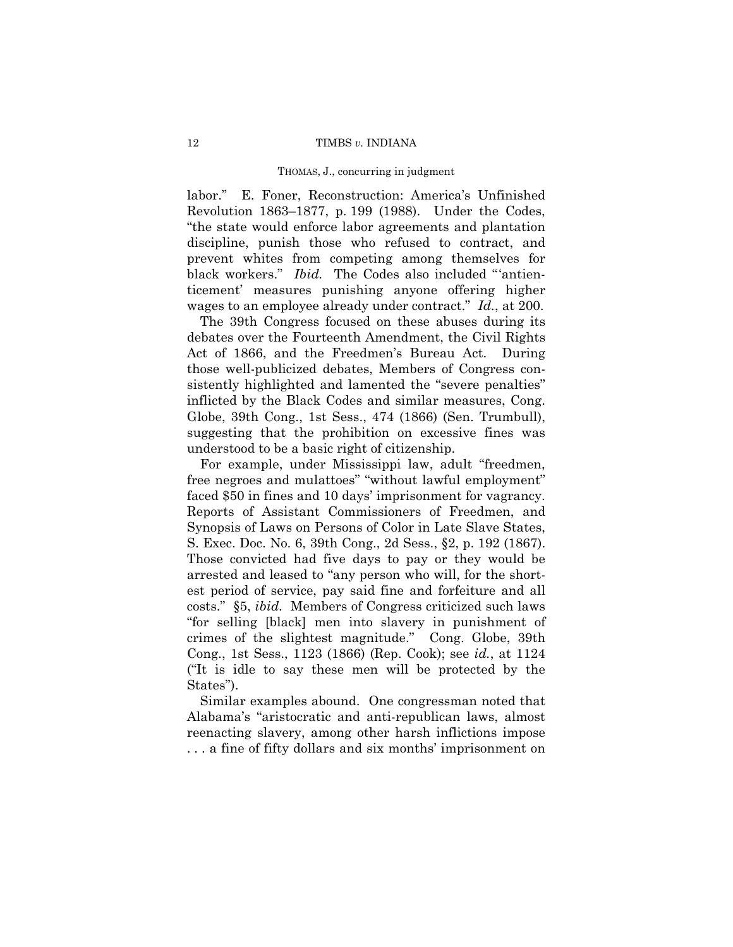labor." E. Foner, Reconstruction: America's Unfinished Revolution 1863–1877, p. 199 (1988). Under the Codes, "the state would enforce labor agreements and plantation discipline, punish those who refused to contract, and prevent whites from competing among themselves for black workers." *Ibid.* The Codes also included "'antienticement' measures punishing anyone offering higher wages to an employee already under contract." *Id.*, at 200.

The 39th Congress focused on these abuses during its debates over the Fourteenth Amendment, the Civil Rights Act of 1866, and the Freedmen's Bureau Act. During those well-publicized debates, Members of Congress consistently highlighted and lamented the "severe penalties" inflicted by the Black Codes and similar measures, Cong. Globe, 39th Cong., 1st Sess., 474 (1866) (Sen. Trumbull), suggesting that the prohibition on excessive fines was understood to be a basic right of citizenship.

For example, under Mississippi law, adult "freedmen, free negroes and mulattoes" "without lawful employment" faced \$50 in fines and 10 days' imprisonment for vagrancy. Reports of Assistant Commissioners of Freedmen, and Synopsis of Laws on Persons of Color in Late Slave States, S. Exec. Doc. No. 6, 39th Cong., 2d Sess., §2, p. 192 (1867). Those convicted had five days to pay or they would be arrested and leased to "any person who will, for the shortest period of service, pay said fine and forfeiture and all costs." §5, *ibid.* Members of Congress criticized such laws "for selling [black] men into slavery in punishment of crimes of the slightest magnitude." Cong. Globe, 39th Cong., 1st Sess., 1123 (1866) (Rep. Cook); see *id.*, at 1124 ("It is idle to say these men will be protected by the States").

Similar examples abound. One congressman noted that Alabama's "aristocratic and anti-republican laws, almost reenacting slavery, among other harsh inflictions impose . . . a fine of fifty dollars and six months' imprisonment on